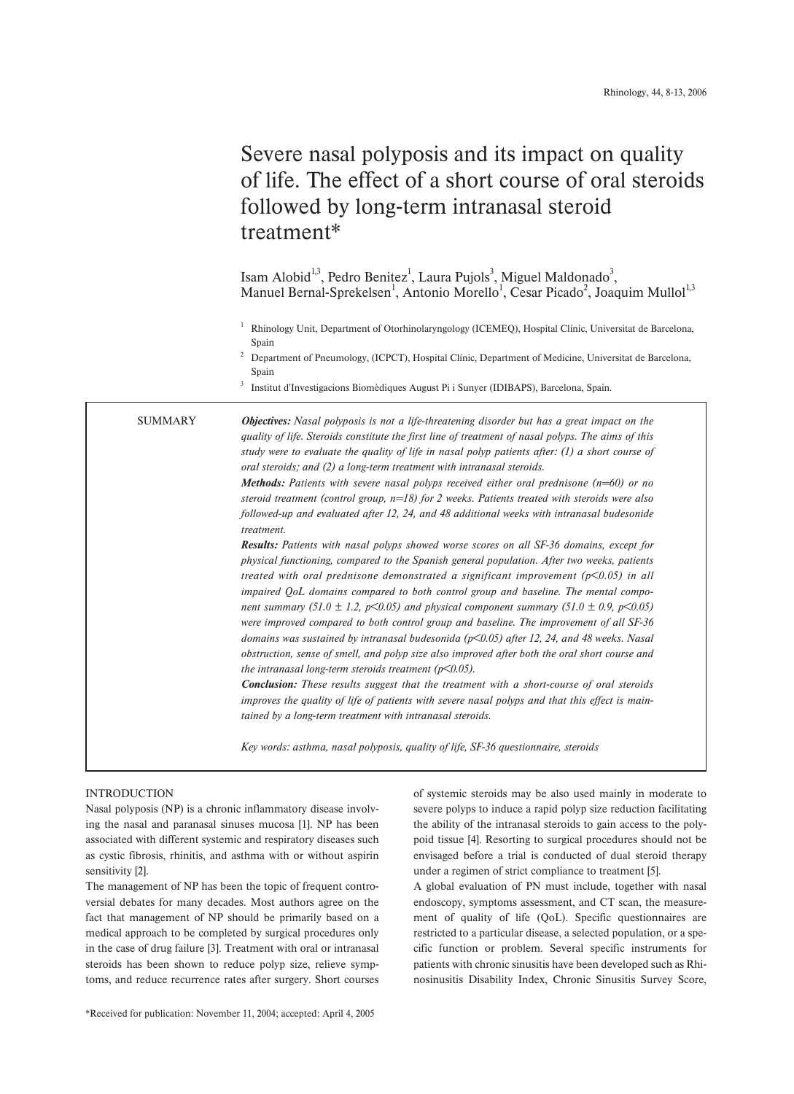# Severe nasal polyposis and its impact on quality of life. The effect of a short course of oral steroids followed by long-term intranasal steroid treatment\*

Isam Alobid<sup>1,3</sup>, Pedro Benitez<sup>1</sup>, Laura Pujols<sup>3</sup>, Miguel Maldonado<sup>3</sup>, Manuel Bernal-Sprekelsen<sup>1</sup>, Antonio Morello<sup>1</sup>, Cesar Picado<sup>2</sup>, Joaquim Mullol<sup>1,3</sup>

<sup>1</sup> Rhinology Unit, Department of Otorhinolaryngology (ICEMEQ), Hospital Clínic, Universitat de Barcelona, Spain

<sup>2</sup> Department of Pneumology, (ICPCT), Hospital Clínic, Department of Medicine, Universitat de Barcelona, Spain

<sup>3</sup> Institut d'Investigacions Biomèdiques August Pi i Sunyer (IDIBAPS), Barcelona, Spain.

SUMMARY

*Objectives: Nasal polyposis is not a life-threatening disorder but has a great impact on the quality of life. Steroids constitute the first line of treatment of nasal polyps. The aims of this study were to evaluate the quality of life in nasal polyp patients after: (1) a short course of oral steroids; and (2) a long-term treatment with intranasal steroids.*

*Methods: Patients with severe nasal polyps received either oral prednisone (n=60) or no steroid treatment (control group, n=18) for 2 weeks. Patients treated with steroids were also followed-up and evaluated after 12, 24, and 48 additional weeks with intranasal budesonide treatment.*

*Results: Patients with nasal polyps showed worse scores on all SF-36 domains, except for physical functioning, compared to the Spanish general population. After two weeks, patients treated with oral prednisone demonstrated a significant improvement (p<0.05) in all impaired QoL domains compared to both control group and baseline. The mental component summary (51.0*  $\pm$  *1.2, p*<0.05) and physical component summary (51.0  $\pm$  0.9, p<0.05) *were improved compared to both control group and baseline. The improvement of all SF-36 domains was sustained by intranasal budesonida (p<0.05) after 12, 24, and 48 weeks. Nasal obstruction, sense of smell, and polyp size also improved after both the oral short course and the intranasal long-term steroids treatment (p<0.05).* 

*Conclusion: These results suggest that the treatment with a short-course of oral steroids improves the quality of life of patients with severe nasal polyps and that this effect is maintained by a long-term treatment with intranasal steroids.*

*Key words: asthma, nasal polyposis, quality of life, SF-36 questionnaire, steroids* 

# INTRODUCTION

Nasal polyposis (NP) is a chronic inflammatory disease involving the nasal and paranasal sinuses mucosa [1]. NP has been associated with different systemic and respiratory diseases such as cystic fibrosis, rhinitis, and asthma with or without aspirin sensitivity [2].

The management of NP has been the topic of frequent controversial debates for many decades. Most authors agree on the fact that management of NP should be primarily based on a medical approach to be completed by surgical procedures only in the case of drug failure [3]. Treatment with oral or intranasal steroids has been shown to reduce polyp size, relieve symptoms, and reduce recurrence rates after surgery. Short courses of systemic steroids may be also used mainly in moderate to severe polyps to induce a rapid polyp size reduction facilitating the ability of the intranasal steroids to gain access to the polypoid tissue [4]. Resorting to surgical procedures should not be envisaged before a trial is conducted of dual steroid therapy under a regimen of strict compliance to treatment [5].

A global evaluation of PN must include, together with nasal endoscopy, symptoms assessment, and CT scan, the measurement of quality of life (QoL). Specific questionnaires are restricted to a particular disease, a selected population, or a specific function or problem. Several specific instruments for patients with chronic sinusitis have been developed such as Rhinosinusitis Disability Index, Chronic Sinusitis Survey Score,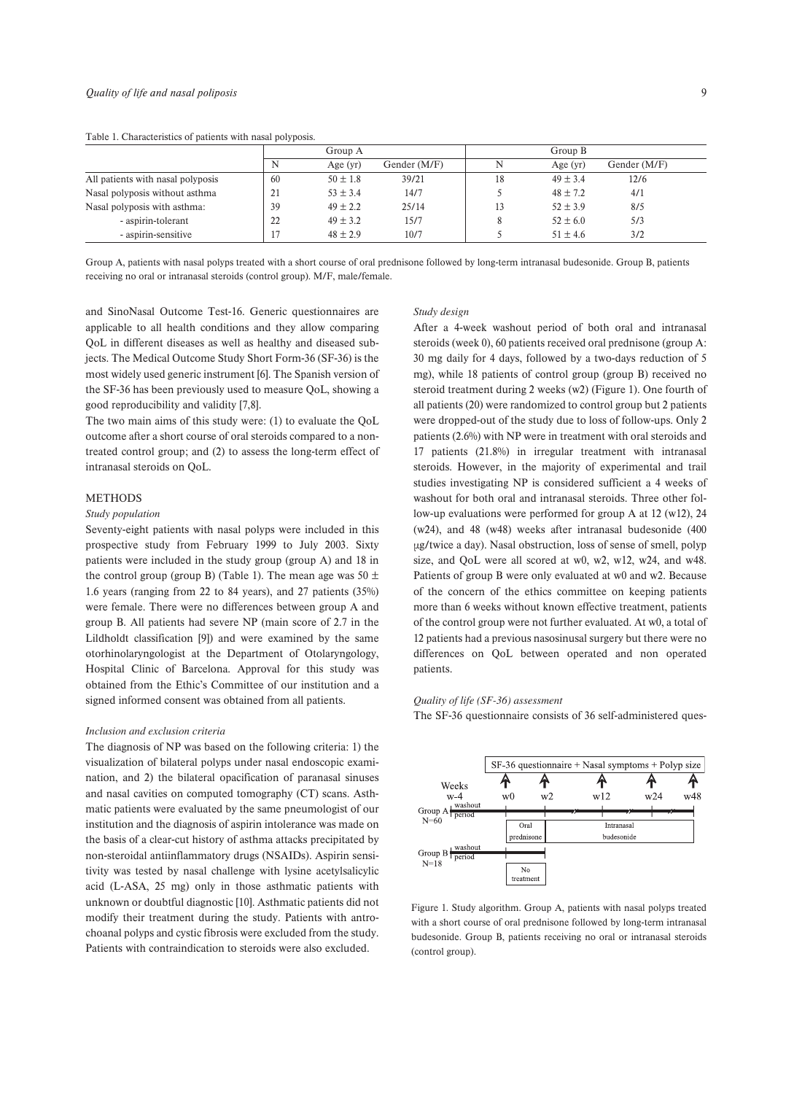Table 1. Characteristics of patients with nasal polyposis.

|                                   |    | Group A      |              |    | Group B      |              |
|-----------------------------------|----|--------------|--------------|----|--------------|--------------|
|                                   | N  | Age $(yr)$   | Gender (M/F) | N  | Age $(yr)$   | Gender (M/F) |
| All patients with nasal polyposis | 60 | $50 \pm 1.8$ | 39/21        | 18 | $49 \pm 3.4$ | 12/6         |
| Nasal polyposis without asthma    | ∠  | $53 \pm 3.4$ | 14/7         |    | $48 \pm 7.2$ | 4/1          |
| Nasal polyposis with asthma:      | 39 | $49 \pm 2.2$ | 25/14        | 13 | $52 \pm 3.9$ | 8/5          |
| - aspirin-tolerant                | 22 | $49 \pm 3.2$ | 15/7         |    | $52 \pm 6.0$ | 5/3          |
| - aspirin-sensitive               |    | $48 \pm 2.9$ | 10/7         |    | $51 \pm 4.6$ | 3/2          |

Group A, patients with nasal polyps treated with a short course of oral prednisone followed by long-term intranasal budesonide. Group B, patients receiving no oral or intranasal steroids (control group). M/F, male/female.

and SinoNasal Outcome Test-16. Generic questionnaires are applicable to all health conditions and they allow comparing QoL in different diseases as well as healthy and diseased subjects. The Medical Outcome Study Short Form-36 (SF-36) is the most widely used generic instrument [6]. The Spanish version of the SF-36 has been previously used to measure QoL, showing a good reproducibility and validity [7,8].

The two main aims of this study were: (1) to evaluate the QoL outcome after a short course of oral steroids compared to a nontreated control group; and (2) to assess the long-term effect of intranasal steroids on QoL.

## METHODS

#### *Study population*

Seventy-eight patients with nasal polyps were included in this prospective study from February 1999 to July 2003. Sixty patients were included in the study group (group A) and 18 in the control group (group B) (Table 1). The mean age was  $50 \pm$ 1.6 years (ranging from 22 to 84 years), and 27 patients (35%) were female. There were no differences between group A and group B. All patients had severe NP (main score of 2.7 in the Lildholdt classification [9]) and were examined by the same otorhinolaryngologist at the Department of Otolaryngology, Hospital Clinic of Barcelona. Approval for this study was obtained from the Ethic's Committee of our institution and a signed informed consent was obtained from all patients.

#### *Inclusion and exclusion criteria*

The diagnosis of NP was based on the following criteria: 1) the visualization of bilateral polyps under nasal endoscopic examination, and 2) the bilateral opacification of paranasal sinuses and nasal cavities on computed tomography (CT) scans. Asthmatic patients were evaluated by the same pneumologist of our institution and the diagnosis of aspirin intolerance was made on the basis of a clear-cut history of asthma attacks precipitated by non-steroidal antiinflammatory drugs (NSAIDs). Aspirin sensitivity was tested by nasal challenge with lysine acetylsalicylic acid (L-ASA, 25 mg) only in those asthmatic patients with unknown or doubtful diagnostic [10]. Asthmatic patients did not modify their treatment during the study. Patients with antrochoanal polyps and cystic fibrosis were excluded from the study. Patients with contraindication to steroids were also excluded.

#### *Study design*

After a 4-week washout period of both oral and intranasal steroids (week 0), 60 patients received oral prednisone (group A: 30 mg daily for 4 days, followed by a two-days reduction of 5 mg), while 18 patients of control group (group B) received no steroid treatment during 2 weeks (w2) (Figure 1). One fourth of all patients (20) were randomized to control group but 2 patients were dropped-out of the study due to loss of follow-ups. Only 2 patients (2.6%) with NP were in treatment with oral steroids and 17 patients (21.8%) in irregular treatment with intranasal steroids. However, in the majority of experimental and trail studies investigating NP is considered sufficient a 4 weeks of washout for both oral and intranasal steroids. Three other follow-up evaluations were performed for group A at 12 (w12), 24 (w24), and 48 (w48) weeks after intranasal budesonide (400 µg/twice a day). Nasal obstruction, loss of sense of smell, polyp size, and QoL were all scored at w0, w2, w12, w24, and w48. Patients of group B were only evaluated at w0 and w2. Because of the concern of the ethics committee on keeping patients more than 6 weeks without known effective treatment, patients of the control group were not further evaluated. At w0, a total of 12 patients had a previous nasosinusal surgery but there were no differences on QoL between operated and non operated patients.

# *Quality of life (SF-36) assessment*

The SF-36 questionnaire consists of 36 self-administered ques-



Figure 1. Study algorithm. Group A, patients with nasal polyps treated with a short course of oral prednisone followed by long-term intranasal budesonide. Group B, patients receiving no oral or intranasal steroids (control group).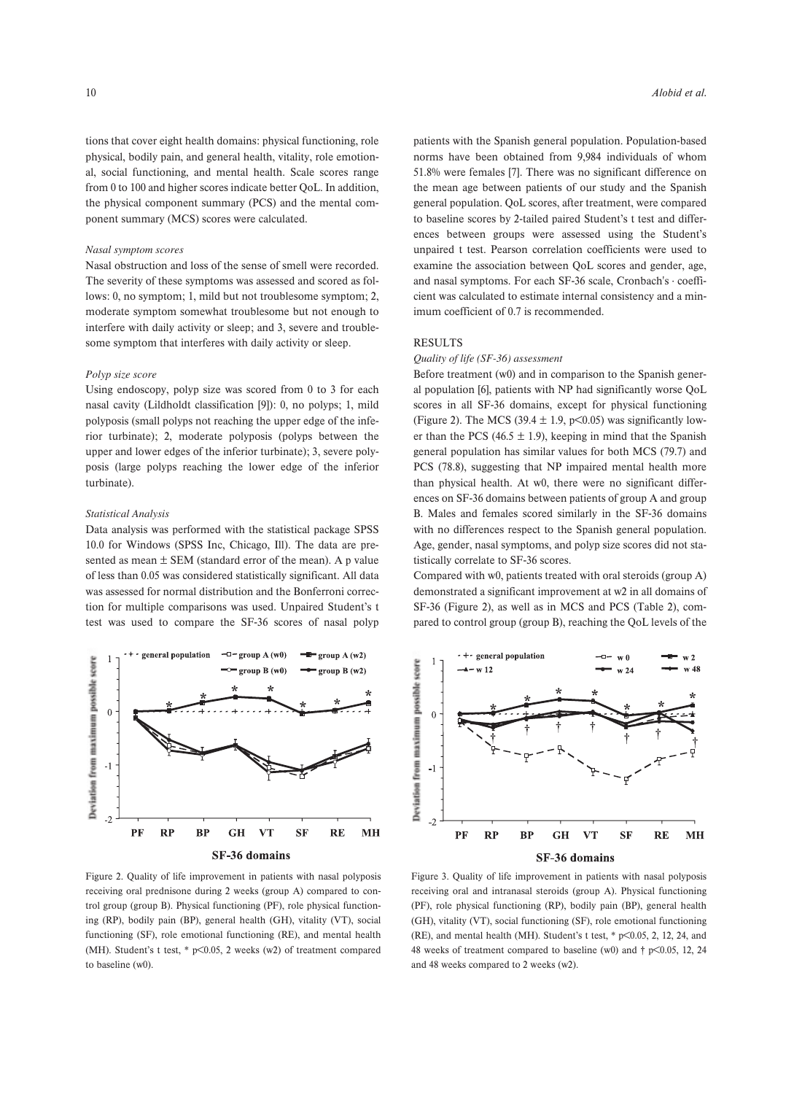tions that cover eight health domains: physical functioning, role physical, bodily pain, and general health, vitality, role emotional, social functioning, and mental health. Scale scores range from 0 to 100 and higher scores indicate better QoL. In addition, the physical component summary (PCS) and the mental component summary (MCS) scores were calculated.

### *Nasal symptom scores*

Nasal obstruction and loss of the sense of smell were recorded. The severity of these symptoms was assessed and scored as follows: 0, no symptom; 1, mild but not troublesome symptom; 2, moderate symptom somewhat troublesome but not enough to interfere with daily activity or sleep; and 3, severe and troublesome symptom that interferes with daily activity or sleep.

## *Polyp size score*

Using endoscopy, polyp size was scored from 0 to 3 for each nasal cavity (Lildholdt classification [9]): 0, no polyps; 1, mild polyposis (small polyps not reaching the upper edge of the inferior turbinate); 2, moderate polyposis (polyps between the upper and lower edges of the inferior turbinate); 3, severe polyposis (large polyps reaching the lower edge of the inferior turbinate).

## *Statistical Analysis*

Data analysis was performed with the statistical package SPSS 10.0 for Windows (SPSS Inc, Chicago, Ill). The data are presented as mean  $\pm$  SEM (standard error of the mean). A p value of less than 0.05 was considered statistically significant. All data was assessed for normal distribution and the Bonferroni correction for multiple comparisons was used. Unpaired Student's t test was used to compare the SF-36 scores of nasal polyp



Figure 2. Quality of life improvement in patients with nasal polyposis receiving oral prednisone during 2 weeks (group A) compared to control group (group B). Physical functioning (PF), role physical functioning (RP), bodily pain (BP), general health (GH), vitality (VT), social functioning (SF), role emotional functioning (RE), and mental health (MH). Student's t test, \* p<0.05, 2 weeks (w2) of treatment compared to baseline (w0).

patients with the Spanish general population. Population-based norms have been obtained from 9,984 individuals of whom 51.8% were females [7]. There was no significant difference on the mean age between patients of our study and the Spanish general population. QoL scores, after treatment, were compared to baseline scores by 2-tailed paired Student's t test and differences between groups were assessed using the Student's unpaired t test. Pearson correlation coefficients were used to examine the association between QoL scores and gender, age, and nasal symptoms. For each SF-36 scale, Cronbach's · coefficient was calculated to estimate internal consistency and a minimum coefficient of 0.7 is recommended.

# RESULTS

## *Quality of life (SF-36) assessment*

Before treatment (w0) and in comparison to the Spanish general population [6], patients with NP had significantly worse QoL scores in all SF-36 domains, except for physical functioning (Figure 2). The MCS (39.4  $\pm$  1.9, p < 0.05) was significantly lower than the PCS (46.5  $\pm$  1.9), keeping in mind that the Spanish general population has similar values for both MCS (79.7) and PCS (78.8), suggesting that NP impaired mental health more than physical health. At w0, there were no significant differences on SF-36 domains between patients of group A and group B. Males and females scored similarly in the SF-36 domains with no differences respect to the Spanish general population. Age, gender, nasal symptoms, and polyp size scores did not statistically correlate to SF-36 scores.

Compared with w0, patients treated with oral steroids (group A) demonstrated a significant improvement at w2 in all domains of SF-36 (Figure 2), as well as in MCS and PCS (Table 2), compared to control group (group B), reaching the QoL levels of the



Figure 3. Quality of life improvement in patients with nasal polyposis receiving oral and intranasal steroids (group A). Physical functioning (PF), role physical functioning (RP), bodily pain (BP), general health (GH), vitality (VT), social functioning (SF), role emotional functioning (RE), and mental health (MH). Student's t test,  $*$  p $< 0.05$ , 2, 12, 24, and 48 weeks of treatment compared to baseline (w0) and  $\dagger$  p<0.05, 12, 24 and 48 weeks compared to 2 weeks (w2).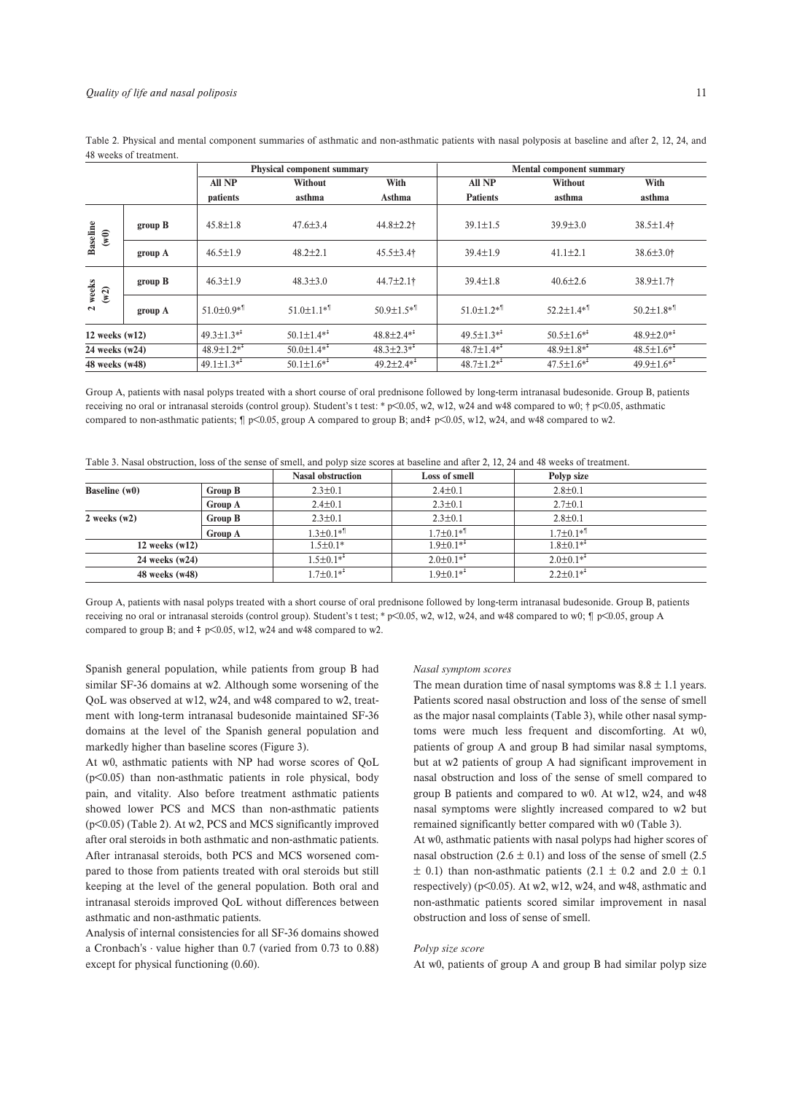Table 2. Physical and mental component summaries of asthmatic and non-asthmatic patients with nasal polyposis at baseline and after 2, 12, 24, and 48 weeks of treatment.

|                         |         | <b>Physical component summary</b> |                               |                               | <b>Mental component summary</b>                                                                                                                                                                                                                                                                                                                                                                                                                                                                                               |                                                |                               |  |
|-------------------------|---------|-----------------------------------|-------------------------------|-------------------------------|-------------------------------------------------------------------------------------------------------------------------------------------------------------------------------------------------------------------------------------------------------------------------------------------------------------------------------------------------------------------------------------------------------------------------------------------------------------------------------------------------------------------------------|------------------------------------------------|-------------------------------|--|
|                         |         | All NP                            | <b>Without</b>                | With                          | All NP                                                                                                                                                                                                                                                                                                                                                                                                                                                                                                                        | <b>Without</b>                                 | With                          |  |
|                         |         | patients                          | asthma                        | Asthma                        | <b>Patients</b>                                                                                                                                                                                                                                                                                                                                                                                                                                                                                                               | asthma                                         | asthma                        |  |
| <b>Baseline</b><br>(w0) | group B | $45.8 \pm 1.8$                    | $47.6 \pm 3.4$                | 44.8±2.2†                     | $39.1 \pm 1.5$                                                                                                                                                                                                                                                                                                                                                                                                                                                                                                                | $39.9 \pm 3.0$                                 | $38.5 \pm 1.4$ †              |  |
|                         | group A | $46.5 \pm 1.9$                    | $48.2 \pm 2.1$                | $45.5 \pm 3.4$ †              | $39.4 \pm 1.9$                                                                                                                                                                                                                                                                                                                                                                                                                                                                                                                | $41.1 \pm 2.1$                                 | $38.6 \pm 3.0$ †              |  |
| 2 weeks<br>(w2)         | group B | $46.3 \pm 1.9$                    | $48.3 \pm 3.0$                | 44.7±2.1†                     | $39.4 \pm 1.8$                                                                                                                                                                                                                                                                                                                                                                                                                                                                                                                | $40.6 \pm 2.6$                                 | 38.9±1.7†                     |  |
|                         | group A | $51.0 \pm 0.9*$ <sup>1</sup>      | $51.0 \pm 1.1$ <sup>*</sup>   | $50.9 \pm 1.5$ * <sup>1</sup> | $51.0 \pm 1.2 *$ <sup>1</sup>                                                                                                                                                                                                                                                                                                                                                                                                                                                                                                 | $52.2 \pm 1.4 \times$ <sup>1</sup>             | $50.2 \pm 1.8 *$ <sup>1</sup> |  |
| $12$ weeks $(w12)$      |         | $49.3 \pm 1.3^{*}$                | $50.1 \pm 1.4*^{\ddagger}$    | $48.8 \pm 2.4*^{\ddagger}$    | $49.5 \pm 1.3*$ <sup>#</sup>                                                                                                                                                                                                                                                                                                                                                                                                                                                                                                  | $50.5 \pm 1.6*^{\ddagger}$                     | $48.9 \pm 2.0*^{\ddagger}$    |  |
| 24 weeks (w24)          |         | $48.9 \pm 1.2*$                   | $50.0 \pm 1.4*^{\frac{1}{4}}$ | $48.3 \pm 2.3$ * <sup>*</sup> | $48.7 \pm 1.4**$                                                                                                                                                                                                                                                                                                                                                                                                                                                                                                              | $48.9 \pm 1.8**$<br>$48.5 \pm 1.6*^{\ddagger}$ |                               |  |
| 48 weeks (w48)          |         | $49.1 \pm 1.3*^{\dagger}$         | $50.1 \pm 1.6*^{\ddagger}$    | $49.2 \pm 2.4*^{\ddagger}$    | $48.7 \pm 1.2^{*}$                                                                                                                                                                                                                                                                                                                                                                                                                                                                                                            | $47.5 \pm 1.6$ * <sup>*</sup>                  | $49.9 \pm 1.6*$               |  |
|                         |         |                                   |                               |                               | Group A, patients with nasal polyps treated with a short course of oral prednisone followed by long-term intranasal budesonide. Group B, patients<br>receiving no oral or intranasal steroids (control group). Student's t test: * $p<0.05$ , w2, w12, w24 and w48 compared to w0; $\uparrow p<0.05$ , asthmatic<br>compared to non-asthmatic patients; $\int_{0}^{\infty} p \langle 0.05, \text{group A compared to group B}; \text{and} \pm p \langle 0.05, \text{w12}, \text{w24}, \text{and w48 compared to w2.} \rangle$ |                                                |                               |  |

|  | Table 3. Nasal obstruction, loss of the sense of smell, and polyp size scores at baseline and after 2, 12, 24 and 48 weeks of treatment. |  |  |
|--|------------------------------------------------------------------------------------------------------------------------------------------|--|--|
|--|------------------------------------------------------------------------------------------------------------------------------------------|--|--|

|                  |                | <b>Nasal obstruction</b>    | Loss of smell               | Polyp size                  |  |
|------------------|----------------|-----------------------------|-----------------------------|-----------------------------|--|
| Baseline (w0)    | <b>Group B</b> | $2.3 \pm 0.1$               | $2.4 \pm 0.1$               | $2.8 \pm 0.1$               |  |
|                  | <b>Group A</b> | $2.4 \pm 0.1$               | $2.3 \pm 0.1$               | $2.7 \pm 0.1$               |  |
| $2$ weeks $(w2)$ | Group B        | $2.3 \pm 0.1$               | $2.3 \pm 0.1$               | $2.8 \pm 0.1$               |  |
|                  | <b>Group A</b> | $1.3 \pm 0.1*$ <sup>1</sup> | $1.7 \pm 0.1*$ <sup>1</sup> | $1.7 \pm 0.1*$ <sup>1</sup> |  |
| 12 weeks $(w12)$ |                | $1.5 \pm 0.1*$              | $1.9 \pm 0.1^{*}$           | $1.8 \pm 0.1^{*}$           |  |
| 24 weeks (w24)   |                | $1.5 \pm 0.1^{*}$           | $2.0 \pm 0.1^{*}$           | $2.0\pm0.1**$               |  |
| 48 weeks (w48)   |                | $1.7 \pm 0.1$ <sup>**</sup> | $1.9 \pm 0.1^{*}$           | $2.2 \pm 0.1^{*}$           |  |

Group A, patients with nasal polyps treated with a short course of oral prednisone followed by long-term intranasal budesonide. Group B, patients receiving no oral or intranasal steroids (control group). Student's t test; \* p<0.05, w2, w12, w24, and w48 compared to w0; ¶ p<0.05, group A compared to group B; and  $\ddagger$  p<0.05, w12, w24 and w48 compared to w2.

Spanish general population, while patients from group B had similar SF-36 domains at w2. Although some worsening of the QoL was observed at w12, w24, and w48 compared to w2, treatment with long-term intranasal budesonide maintained SF-36 domains at the level of the Spanish general population and markedly higher than baseline scores (Figure 3).

At w0, asthmatic patients with NP had worse scores of QoL (p<0.05) than non-asthmatic patients in role physical, body pain, and vitality. Also before treatment asthmatic patients showed lower PCS and MCS than non-asthmatic patients (p<0.05) (Table 2). At w2, PCS and MCS significantly improved after oral steroids in both asthmatic and non-asthmatic patients. After intranasal steroids, both PCS and MCS worsened compared to those from patients treated with oral steroids but still keeping at the level of the general population. Both oral and intranasal steroids improved QoL without differences between asthmatic and non-asthmatic patients.

Analysis of internal consistencies for all SF-36 domains showed a Cronbach's · value higher than 0.7 (varied from 0.73 to 0.88) except for physical functioning (0.60).

#### *Nasal symptom scores*

The mean duration time of nasal symptoms was  $8.8 \pm 1.1$  years. Patients scored nasal obstruction and loss of the sense of smell as the major nasal complaints (Table 3), while other nasal symptoms were much less frequent and discomforting. At w0, patients of group A and group B had similar nasal symptoms, but at w2 patients of group A had significant improvement in nasal obstruction and loss of the sense of smell compared to group B patients and compared to w0. At w12, w24, and w48 nasal symptoms were slightly increased compared to w2 but remained significantly better compared with w0 (Table 3).

At w0, asthmatic patients with nasal polyps had higher scores of nasal obstruction  $(2.6 \pm 0.1)$  and loss of the sense of smell  $(2.5$  $\pm$  0.1) than non-asthmatic patients (2.1  $\pm$  0.2 and 2.0  $\pm$  0.1 respectively) (p<0.05). At w2, w12, w24, and w48, asthmatic and non-asthmatic patients scored similar improvement in nasal obstruction and loss of sense of smell.

## *Polyp size score*

At w0, patients of group A and group B had similar polyp size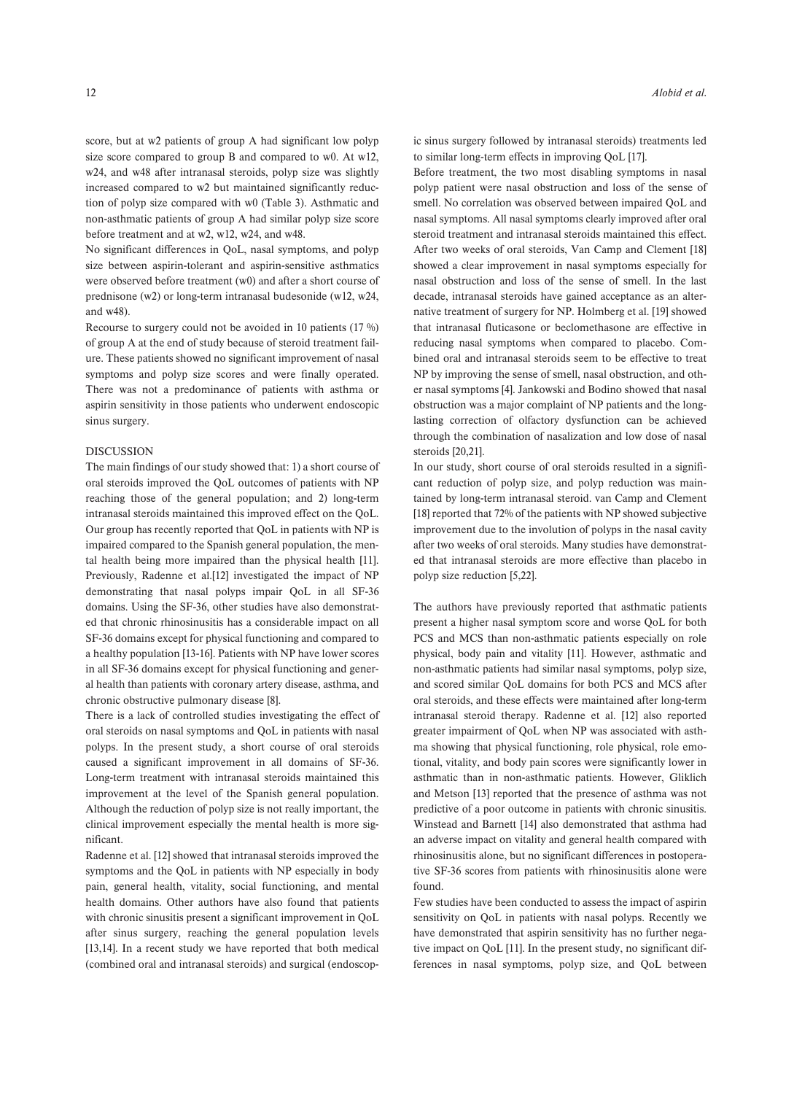score, but at w2 patients of group A had significant low polyp size score compared to group B and compared to w0. At w12, w24, and w48 after intranasal steroids, polyp size was slightly increased compared to w2 but maintained significantly reduction of polyp size compared with w0 (Table 3). Asthmatic and non-asthmatic patients of group A had similar polyp size score before treatment and at w2, w12, w24, and w48.

No significant differences in QoL, nasal symptoms, and polyp size between aspirin-tolerant and aspirin-sensitive asthmatics were observed before treatment (w0) and after a short course of prednisone (w2) or long-term intranasal budesonide (w12, w24, and w48).

Recourse to surgery could not be avoided in 10 patients (17 %) of group A at the end of study because of steroid treatment failure. These patients showed no significant improvement of nasal symptoms and polyp size scores and were finally operated. There was not a predominance of patients with asthma or aspirin sensitivity in those patients who underwent endoscopic sinus surgery.

## DISCUSSION

The main findings of our study showed that: 1) a short course of oral steroids improved the QoL outcomes of patients with NP reaching those of the general population; and 2) long-term intranasal steroids maintained this improved effect on the QoL. Our group has recently reported that QoL in patients with NP is impaired compared to the Spanish general population, the mental health being more impaired than the physical health [11]. Previously, Radenne et al.[12] investigated the impact of NP demonstrating that nasal polyps impair QoL in all SF-36 domains. Using the SF-36, other studies have also demonstrated that chronic rhinosinusitis has a considerable impact on all SF-36 domains except for physical functioning and compared to a healthy population [13-16]. Patients with NP have lower scores in all SF-36 domains except for physical functioning and general health than patients with coronary artery disease, asthma, and chronic obstructive pulmonary disease [8].

There is a lack of controlled studies investigating the effect of oral steroids on nasal symptoms and QoL in patients with nasal polyps. In the present study, a short course of oral steroids caused a significant improvement in all domains of SF-36. Long-term treatment with intranasal steroids maintained this improvement at the level of the Spanish general population. Although the reduction of polyp size is not really important, the clinical improvement especially the mental health is more significant.

Radenne et al. [12] showed that intranasal steroids improved the symptoms and the QoL in patients with NP especially in body pain, general health, vitality, social functioning, and mental health domains. Other authors have also found that patients with chronic sinusitis present a significant improvement in QoL after sinus surgery, reaching the general population levels [13,14]. In a recent study we have reported that both medical (combined oral and intranasal steroids) and surgical (endoscopic sinus surgery followed by intranasal steroids) treatments led to similar long-term effects in improving QoL [17].

Before treatment, the two most disabling symptoms in nasal polyp patient were nasal obstruction and loss of the sense of smell. No correlation was observed between impaired QoL and nasal symptoms. All nasal symptoms clearly improved after oral steroid treatment and intranasal steroids maintained this effect. After two weeks of oral steroids, Van Camp and Clement [18] showed a clear improvement in nasal symptoms especially for nasal obstruction and loss of the sense of smell. In the last decade, intranasal steroids have gained acceptance as an alternative treatment of surgery for NP. Holmberg et al. [19] showed that intranasal fluticasone or beclomethasone are effective in reducing nasal symptoms when compared to placebo. Combined oral and intranasal steroids seem to be effective to treat NP by improving the sense of smell, nasal obstruction, and other nasal symptoms [4]. Jankowski and Bodino showed that nasal obstruction was a major complaint of NP patients and the longlasting correction of olfactory dysfunction can be achieved through the combination of nasalization and low dose of nasal steroids [20,21].

In our study, short course of oral steroids resulted in a significant reduction of polyp size, and polyp reduction was maintained by long-term intranasal steroid. van Camp and Clement [18] reported that 72% of the patients with NP showed subjective improvement due to the involution of polyps in the nasal cavity after two weeks of oral steroids. Many studies have demonstrated that intranasal steroids are more effective than placebo in polyp size reduction [5,22].

The authors have previously reported that asthmatic patients present a higher nasal symptom score and worse QoL for both PCS and MCS than non-asthmatic patients especially on role physical, body pain and vitality [11]. However, asthmatic and non-asthmatic patients had similar nasal symptoms, polyp size, and scored similar QoL domains for both PCS and MCS after oral steroids, and these effects were maintained after long-term intranasal steroid therapy. Radenne et al. [12] also reported greater impairment of QoL when NP was associated with asthma showing that physical functioning, role physical, role emotional, vitality, and body pain scores were significantly lower in asthmatic than in non-asthmatic patients. However, Gliklich and Metson [13] reported that the presence of asthma was not predictive of a poor outcome in patients with chronic sinusitis. Winstead and Barnett [14] also demonstrated that asthma had an adverse impact on vitality and general health compared with rhinosinusitis alone, but no significant differences in postoperative SF-36 scores from patients with rhinosinusitis alone were found.

Few studies have been conducted to assess the impact of aspirin sensitivity on QoL in patients with nasal polyps. Recently we have demonstrated that aspirin sensitivity has no further negative impact on QoL [11]. In the present study, no significant differences in nasal symptoms, polyp size, and QoL between